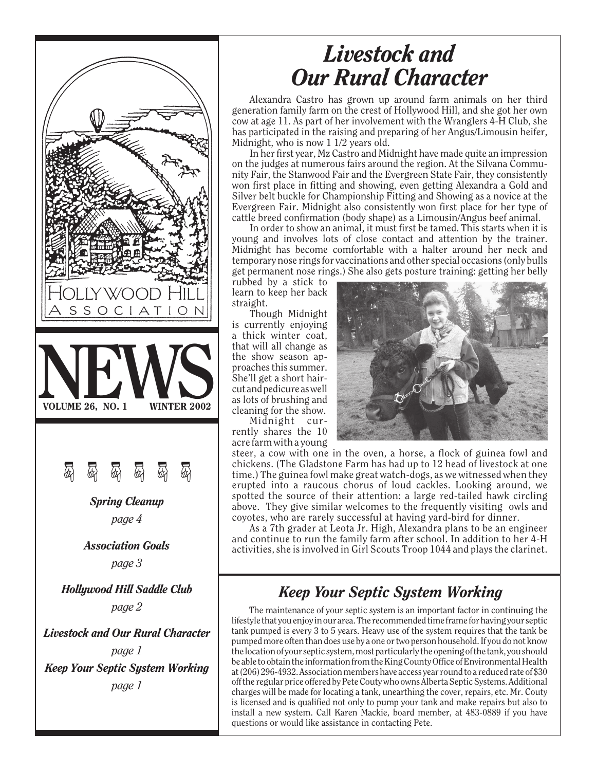

## *Livestock and Our Rural Character*

Alexandra Castro has grown up around farm animals on her third generation family farm on the crest of Hollywood Hill, and she got her own cow at age 11. As part of her involvement with the Wranglers 4-H Club, she has participated in the raising and preparing of her Angus/Limousin heifer, Midnight, who is now 1 1/2 years old.

In her first year, Mz Castro and Midnight have made quite an impression on the judges at numerous fairs around the region. At the Silvana Community Fair, the Stanwood Fair and the Evergreen State Fair, they consistently won first place in fitting and showing, even getting Alexandra a Gold and Silver belt buckle for Championship Fitting and Showing as a novice at the Evergreen Fair. Midnight also consistently won first place for her type of cattle breed confirmation (body shape) as a Limousin/Angus beef animal.

In order to show an animal, it must first be tamed. This starts when it is young and involves lots of close contact and attention by the trainer. Midnight has become comfortable with a halter around her neck and temporary nose rings for vaccinations and other special occasions (only bulls get permanent nose rings.) She also gets posture training: getting her belly

rubbed by a stick to learn to keep her back straight.

Though Midnight is currently enjoying a thick winter coat, that will all change as the show season approaches this summer. She'll get a short haircut and pedicure as well as lots of brushing and cleaning for the show.

Midnight currently shares the 10 acre farm with a young



steer, a cow with one in the oven, a horse, a flock of guinea fowl and chickens. (The Gladstone Farm has had up to 12 head of livestock at one time.) The guinea fowl make great watch-dogs, as we witnessed when they erupted into a raucous chorus of loud cackles. Looking around, we spotted the source of their attention: a large red-tailed hawk circling above. They give similar welcomes to the frequently visiting owls and coyotes, who are rarely successful at having yard-bird for dinner.

As a 7th grader at Leota Jr. High, Alexandra plans to be an engineer and continue to run the family farm after school. In addition to her 4-H activities, she is involved in Girl Scouts Troop 1044 and plays the clarinet.

### *Keep Your Septic System Working*

The maintenance of your septic system is an important factor in continuing the lifestyle that you enjoy in our area. The recommended time frame for having your septic tank pumped is every 3 to 5 years. Heavy use of the system requires that the tank be pumped more often than does use by a one or two person household. If you do not know the location of your septic system, most particularly the opening of the tank, you should be able to obtain the information from the King County Office of Environmental Health at (206) 296-4932. Association members have access year round to a reduced rate of \$30 off the regular price offered by Pete Couty who owns Alberta Septic Systems. Additional charges will be made for locating a tank, unearthing the cover, repairs, etc. Mr. Couty is licensed and is qualified not only to pump your tank and make repairs but also to install a new system. Call Karen Mackie, board member, at 483-0889 if you have questions or would like assistance in contacting Pete.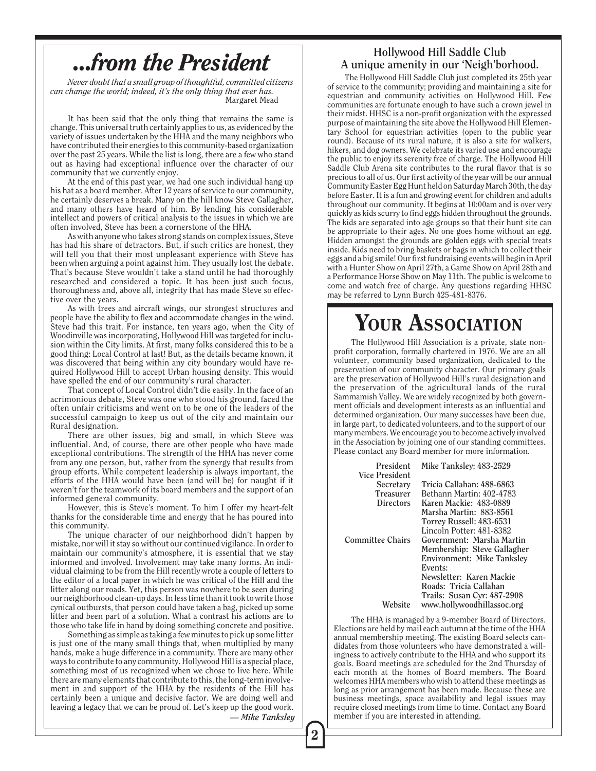## *...from the President*

*Never doubt that a small group of thoughtful, committed citizens can change the world; indeed, it's the only thing that ever has.* Margaret Mead

It has been said that the only thing that remains the same is change. This universal truth certainly applies to us, as evidenced by the variety of issues undertaken by the HHA and the many neighbors who have contributed their energies to this community-based organization over the past 25 years. While the list is long, there are a few who stand out as having had exceptional influence over the character of our community that we currently enjoy.

At the end of this past year, we had one such individual hang up his hat as a board member. After 12 years of service to our community, he certainly deserves a break. Many on the hill know Steve Gallagher, and many others have heard of him. By lending his considerable intellect and powers of critical analysis to the issues in which we are often involved, Steve has been a cornerstone of the HHA.

As with anyone who takes strong stands on complex issues, Steve has had his share of detractors. But, if such critics are honest, they will tell you that their most unpleasant experience with Steve has been when arguing a point against him. They usually lost the debate. That's because Steve wouldn't take a stand until he had thoroughly researched and considered a topic. It has been just such focus, thoroughness and, above all, integrity that has made Steve so effective over the years.

As with trees and aircraft wings, our strongest structures and people have the ability to flex and accommodate changes in the wind. Steve had this trait. For instance, ten years ago, when the City of Woodinville was incorporating, Hollywood Hill was targeted for inclusion within the City limits. At first, many folks considered this to be a good thing: Local Control at last! But, as the details became known, it was discovered that being within any city boundary would have required Hollywood Hill to accept Urban housing density. This would have spelled the end of our community's rural character.

That concept of Local Control didn't die easily. In the face of an acrimonious debate, Steve was one who stood his ground, faced the often unfair criticisms and went on to be one of the leaders of the successful campaign to keep us out of the city and maintain our Rural designation.

There are other issues, big and small, in which Steve was influential. And, of course, there are other people who have made exceptional contributions. The strength of the HHA has never come from any one person, but, rather from the synergy that results from group efforts. While competent leadership is always important, the efforts of the HHA would have been (and will be) for naught if it weren't for the teamwork of its board members and the support of an informed general community.

However, this is Steve's moment. To him I offer my heart-felt thanks for the considerable time and energy that he has poured into this community.

The unique character of our neighborhood didn't happen by mistake, nor will it stay so without our continued vigilance. In order to maintain our community's atmosphere, it is essential that we stay informed and involved. Involvement may take many forms. An individual claiming to be from the Hill recently wrote a couple of letters to the editor of a local paper in which he was critical of the Hill and the litter along our roads. Yet, this person was nowhere to be seen during our neighborhood clean-up days. In less time than it took to write those cynical outbursts, that person could have taken a bag, picked up some litter and been part of a solution. What a contrast his actions are to those who take life in hand by doing something concrete and positive.

*— Mike Tanksley* Something as simple as taking a few minutes to pick up some litter is just one of the many small things that, when multiplied by many hands, make a huge difference in a community. There are many other ways to contribute to any community. Hollywood Hill is a special place, something most of us recognized when we chose to live here. While there are many elements that contribute to this, the long-term involvement in and support of the HHA by the residents of the Hill has certainly been a unique and decisive factor. We are doing well and leaving a legacy that we can be proud of. Let's keep up the good work.

#### **Hollywood Hill Saddle Club A unique amenity in our 'Neigh'borhood.**

The Hollywood Hill Saddle Club just completed its 25th year of service to the community; providing and maintaining a site for equestrian and community activities on Hollywood Hill. Few communities are fortunate enough to have such a crown jewel in their midst. HHSC is a non-profit organization with the expressed purpose of maintaining the site above the Hollywood Hill Elementary School for equestrian activities (open to the public year round). Because of its rural nature, it is also a site for walkers, hikers, and dog owners. We celebrate its varied use and encourage the public to enjoy its serenity free of charge. The Hollywood Hill Saddle Club Arena site contributes to the rural flavor that is so precious to all of us. Our first activity of the year will be our annual Community Easter Egg Hunt held on Saturday March 30th, the day before Easter. It is a fun and growing event for children and adults throughout our community. It begins at 10:00am and is over very quickly as kids scurry to find eggs hidden throughout the grounds. The kids are separated into age groups so that their hunt site can be appropriate to their ages. No one goes home without an egg. Hidden amongst the grounds are golden eggs with special treats inside. Kids need to bring baskets or bags in which to collect their eggs and a big smile! Our first fundraising events will begin in April with a Hunter Show on April 27th, a Game Show on April 28th and a Performance Horse Show on May 11th. The public is welcome to come and watch free of charge. Any questions regarding HHSC may be referred to Lynn Burch 425-481-8376.

### YOUR ASSOCIATION

The Hollywood Hill Association is a private, state nonprofit corporation, formally chartered in 1976. We are an all volunteer, community based organization, dedicated to the preservation of our community character. Our primary goals are the preservation of Hollywood Hill's rural designation and the preservation of the agricultural lands of the rural Sammamish Valley. We are widely recognized by both government officials and development interests as an influential and determined organization. Our many successes have been due, in large part, to dedicated volunteers, and to the support of our many members. We encourage you to become actively involved in the Association by joining one of our standing committees. Please contact any Board member for more information.

| President<br><b>Vice President</b> | Mike Tanksley: 483-2529     |
|------------------------------------|-----------------------------|
| Secretary                          | Tricia Callahan: 488-6863   |
| <b>Treasurer</b>                   | Bethann Martin: 402-4783    |
| Directors                          | Karen Mackie: 483-0889      |
|                                    | Marsha Martin: 883-8561     |
|                                    | Torrey Russell: 483-6531    |
|                                    | Lincoln Potter: 481-8382    |
| Committee Chairs                   | Government: Marsha Martin   |
|                                    | Membership: Steve Gallagher |
|                                    | Environment: Mike Tanksley  |
|                                    | Events:                     |
|                                    | Newsletter: Karen Mackie    |
|                                    | Roads: Tricia Callahan      |
|                                    | Trails: Susan Cyr: 487-2908 |
| Website                            | www.hollywoodhillassoc.org  |

The HHA is managed by a 9-member Board of Directors. Elections are held by mail each autumn at the time of the HHA annual membership meeting. The existing Board selects candidates from those volunteers who have demonstrated a willingness to actively contribute to the HHA and who support its goals. Board meetings are scheduled for the 2nd Thursday of each month at the homes of Board members. The Board welcomes HHA members who wish to attend these meetings as long as prior arrangement has been made. Because these are business meetings, space availability and legal issues may require closed meetings from time to time. Contact any Board member if you are interested in attending.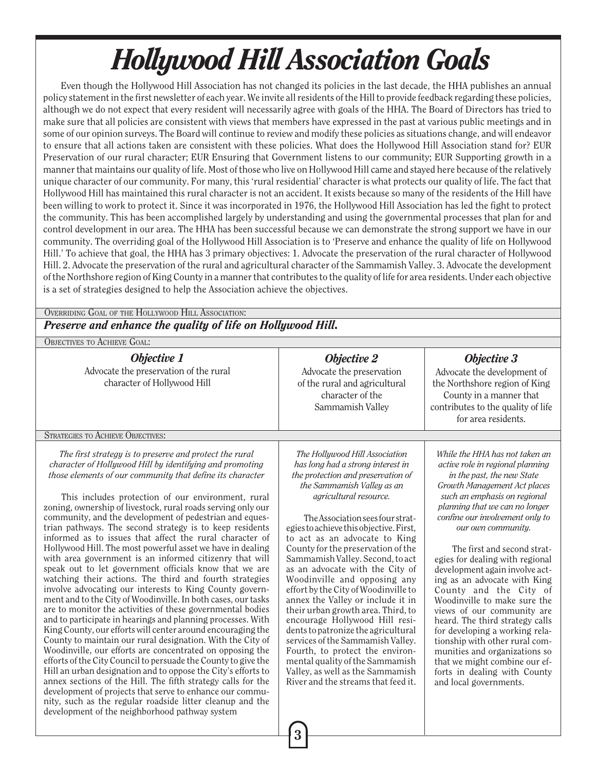# *Hollywood Hill Association Goals*

Even though the Hollywood Hill Association has not changed its policies in the last decade, the HHA publishes an annual policy statement in the first newsletter of each year. We invite all residents of the Hill to provide feedback regarding these policies, although we do not expect that every resident will necessarily agree with goals of the HHA. The Board of Directors has tried to make sure that all policies are consistent with views that members have expressed in the past at various public meetings and in some of our opinion surveys. The Board will continue to review and modify these policies as situations change, and will endeavor to ensure that all actions taken are consistent with these policies. What does the Hollywood Hill Association stand for? EUR Preservation of our rural character; EUR Ensuring that Government listens to our community; EUR Supporting growth in a manner that maintains our quality of life. Most of those who live on Hollywood Hill came and stayed here because of the relatively unique character of our community. For many, this 'rural residential' character is what protects our quality of life. The fact that Hollywood Hill has maintained this rural character is not an accident. It exists because so many of the residents of the Hill have been willing to work to protect it. Since it was incorporated in 1976, the Hollywood Hill Association has led the fight to protect the community. This has been accomplished largely by understanding and using the governmental processes that plan for and control development in our area. The HHA has been successful because we can demonstrate the strong support we have in our community. The overriding goal of the Hollywood Hill Association is to 'Preserve and enhance the quality of life on Hollywood Hill.' To achieve that goal, the HHA has 3 primary objectives: 1. Advocate the preservation of the rural character of Hollywood Hill. 2. Advocate the preservation of the rural and agricultural character of the Sammamish Valley. 3. Advocate the development of the Northshore region of King County in a manner that contributes to the quality of life for area residents. Under each objective is a set of strategies designed to help the Association achieve the objectives.

#### OVERRIDING GOAL OF THE HOLLYWOOD HILL ASSOCIATION: *Preserve and enhance the quality of life on Hollywood Hill.*

OBJECTIVES TO ACHIEVE GOAL:

*Objective 1* Advocate the preservation of the rural character of Hollywood Hill

*Objective 2* Advocate the preservation of the rural and agricultural character of the

Sammamish Valley

#### *Objective 3*

Advocate the development of the Northshore region of King County in a manner that contributes to the quality of life for area residents.

#### STRATEGIES TO ACHIEVE OBJECTIVES:

*The first strategy is to preserve and protect the rural character of Hollywood Hill by identifying and promoting those elements of our community that define its character*

This includes protection of our environment, rural zoning, ownership of livestock, rural roads serving only our community, and the development of pedestrian and equestrian pathways. The second strategy is to keep residents informed as to issues that affect the rural character of Hollywood Hill. The most powerful asset we have in dealing with area government is an informed citizenry that will speak out to let government officials know that we are watching their actions. The third and fourth strategies involve advocating our interests to King County government and to the City of Woodinville. In both cases, our tasks are to monitor the activities of these governmental bodies and to participate in hearings and planning processes. With King County, our efforts will center around encouraging the County to maintain our rural designation. With the City of Woodinville, our efforts are concentrated on opposing the efforts of the City Council to persuade the County to give the Hill an urban designation and to oppose the City's efforts to annex sections of the Hill. The fifth strategy calls for the development of projects that serve to enhance our community, such as the regular roadside litter cleanup and the development of the neighborhood pathway system

*The Hollywood Hill Association has long had a strong interest in the protection and preservation of the Sammamish Valley as an agricultural resource.*

The Association sees four strategies to achieve this objective. First, to act as an advocate to King County for the preservation of the Sammamish Valley. Second, to act as an advocate with the City of Woodinville and opposing any effort by the City of Woodinville to annex the Valley or include it in their urban growth area. Third, to encourage Hollywood Hill residents to patronize the agricultural services of the Sammamish Valley. Fourth, to protect the environmental quality of the Sammamish Valley, as well as the Sammamish River and the streams that feed it.

*While the HHA has not taken an active role in regional planning in the past, the new State Growth Management Act places such an emphasis on regional planning that we can no longer confine our involvement only to our own community.*

The first and second strategies for dealing with regional development again involve acting as an advocate with King County and the City of Woodinville to make sure the views of our community are heard. The third strategy calls for developing a working relationship with other rural communities and organizations so that we might combine our efforts in dealing with County and local governments.